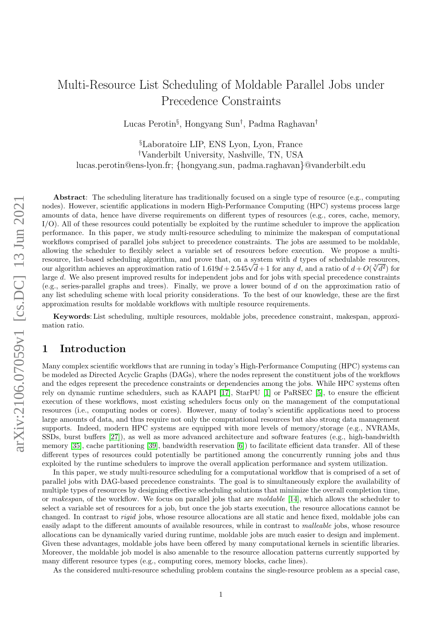# Multi-Resource List Scheduling of Moldable Parallel Jobs under Precedence Constraints

Lucas Perotin§ , Hongyang Sun† , Padma Raghavan†

§Laboratoire LIP, ENS Lyon, Lyon, France †Vanderbilt University, Nashville, TN, USA lucas.perotin@ens-lyon.fr; {hongyang.sun, padma.raghavan}@vanderbilt.edu

Abstract: The scheduling literature has traditionally focused on a single type of resource (e.g., computing nodes). However, scientific applications in modern High-Performance Computing (HPC) systems process large amounts of data, hence have diverse requirements on different types of resources (e.g., cores, cache, memory, I/O). All of these resources could potentially be exploited by the runtime scheduler to improve the application performance. In this paper, we study multi-resource scheduling to minimize the makespan of computational workflows comprised of parallel jobs subject to precedence constraints. The jobs are assumed to be moldable, allowing the scheduler to flexibly select a variable set of resources before execution. We propose a multiresource, list-based scheduling algorithm, and prove that, on a system with d types of schedulable resources,<br>  $\frac{1}{2}$  and  $\frac{1}{2}$  and  $\frac{1}{2}$  and  $\frac{1}{2}$  and  $\frac{1}{2}$  and  $\frac{1}{2}$  and  $\frac{1}{2}$  and  $\frac{1}{2}$  an resource, list-based scheduling algorithm, and prove that, on a system with a types of schedulable resources,<br>our algorithm achieves an approximation ratio of  $1.619d + 2.545\sqrt{d} + 1$  for any d, and a ratio of  $d + O(\sqrt[3]{d^2$ large d. We also present improved results for independent jobs and for jobs with special precedence constraints (e.g., series-parallel graphs and trees). Finally, we prove a lower bound of  $d$  on the approximation ratio of any list scheduling scheme with local priority considerations. To the best of our knowledge, these are the first approximation results for moldable workflows with multiple resource requirements.

Keywords: List scheduling, multiple resources, moldable jobs, precedence constraint, makespan, approximation ratio.

# 1 Introduction

Many complex scientific workflows that are running in today's High-Performance Computing (HPC) systems can be modeled as Directed Acyclic Graphs (DAGs), where the nodes represent the constituent jobs of the workflows and the edges represent the precedence constraints or dependencies among the jobs. While HPC systems often rely on dynamic runtime schedulers, such as KAAPI [\[17\]](#page-16-0), StarPU [\[1\]](#page-16-1) or PaRSEC [\[5\]](#page-16-2), to ensure the efficient execution of these workflows, most existing schedulers focus only on the management of the computational resources (i.e., computing nodes or cores). However, many of today's scientific applications need to process large amounts of data, and thus require not only the computational resources but also strong data management supports. Indeed, modern HPC systems are equipped with more levels of memory/storage (e.g., NVRAMs, SSDs, burst buffers [\[27\]](#page-17-0)), as well as more advanced architecture and software features (e.g., high-bandwidth memory [\[35\]](#page-17-1), cache partitioning [\[39\]](#page-17-2), bandwidth reservation [\[6\]](#page-16-3)) to facilitate efficient data transfer. All of these different types of resources could potentially be partitioned among the concurrently running jobs and thus exploited by the runtime schedulers to improve the overall application performance and system utilization.

In this paper, we study multi-resource scheduling for a computational workflow that is comprised of a set of parallel jobs with DAG-based precedence constraints. The goal is to simultaneously explore the availability of multiple types of resources by designing effective scheduling solutions that minimize the overall completion time, or makespan, of the workflow. We focus on parallel jobs that are moldable [\[14\]](#page-16-4), which allows the scheduler to select a variable set of resources for a job, but once the job starts execution, the resource allocations cannot be changed. In contrast to *rigid* jobs, whose resource allocations are all static and hence fixed, moldable jobs can easily adapt to the different amounts of available resources, while in contrast to malleable jobs, whose resource allocations can be dynamically varied during runtime, moldable jobs are much easier to design and implement. Given these advantages, moldable jobs have been offered by many computational kernels in scientific libraries. Moreover, the moldable job model is also amenable to the resource allocation patterns currently supported by many different resource types (e.g., computing cores, memory blocks, cache lines).

As the considered multi-resource scheduling problem contains the single-resource problem as a special case,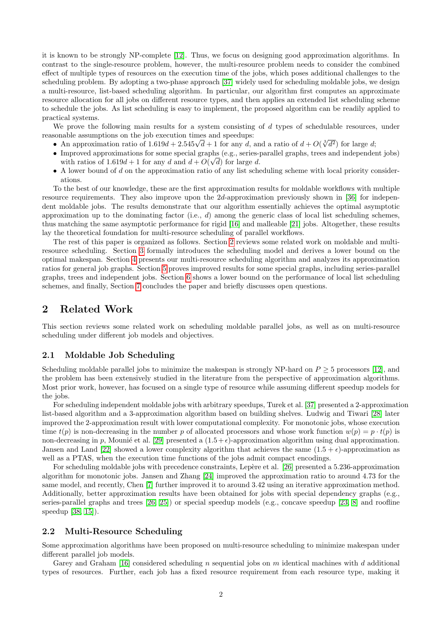it is known to be strongly NP-complete [\[12\]](#page-16-5). Thus, we focus on designing good approximation algorithms. In contrast to the single-resource problem, however, the multi-resource problem needs to consider the combined effect of multiple types of resources on the execution time of the jobs, which poses additional challenges to the scheduling problem. By adopting a two-phase approach [\[37\]](#page-17-3) widely used for scheduling moldable jobs, we design a multi-resource, list-based scheduling algorithm. In particular, our algorithm first computes an approximate resource allocation for all jobs on different resource types, and then applies an extended list scheduling scheme to schedule the jobs. As list scheduling is easy to implement, the proposed algorithm can be readily applied to practical systems.

We prove the following main results for a system consisting of  $d$  types of schedulable resources, under reasonable assumptions on the job execution times and speedups:

- sonable assumptions on the job execution times and speedups:<br>● An approximation ratio of  $1.619d + 2.545\sqrt{d} + 1$  for any d, and a ratio of  $d + O(\sqrt[3]{d^2})$  for large d;
- Improved approximations for some special graphs (e.g., series-parallel graphs, trees and independent jobs) √ with ratios of  $1.619d + 1$  for any d and  $d + O(\sqrt{d})$  for large d.
- A lower bound of d on the approximation ratio of any list scheduling scheme with local priority considerations.

To the best of our knowledge, these are the first approximation results for moldable workflows with multiple resource requirements. They also improve upon the 2d-approximation previously shown in [\[36\]](#page-17-4) for independent moldable jobs. The results demonstrate that our algorithm essentially achieves the optimal asymptotic approximation up to the dominating factor (i.e.,  $d$ ) among the generic class of local list scheduling schemes, thus matching the same asymptotic performance for rigid [\[16\]](#page-16-6) and malleable [\[21\]](#page-17-5) jobs. Altogether, these results lay the theoretical foundation for multi-resource scheduling of parallel workflows.

The rest of this paper is organized as follows. Section [2](#page-1-0) reviews some related work on moldable and multiresource scheduling. Section [3](#page-2-0) formally introduces the scheduling model and derives a lower bound on the optimal makespan. Section [4](#page-4-0) presents our multi-resource scheduling algorithm and analyzes its approximation ratios for general job graphs. Section [5](#page-12-0) proves improved results for some special graphs, including series-parallel graphs, trees and independent jobs. Section [6](#page-14-0) shows a lower bound on the performance of local list scheduling schemes, and finally, Section [7](#page-15-0) concludes the paper and briefly discusses open questions.

# <span id="page-1-0"></span>2 Related Work

This section reviews some related work on scheduling moldable parallel jobs, as well as on multi-resource scheduling under different job models and objectives.

# 2.1 Moldable Job Scheduling

Scheduling moldable parallel jobs to minimize the makespan is strongly NP-hard on  $P \geq 5$  processors [\[12\]](#page-16-5), and the problem has been extensively studied in the literature from the perspective of approximation algorithms. Most prior work, however, has focused on a single type of resource while assuming different speedup models for the jobs.

For scheduling independent moldable jobs with arbitrary speedups, Turek et al. [\[37\]](#page-17-3) presented a 2-approximation list-based algorithm and a 3-approximation algorithm based on building shelves. Ludwig and Tiwari [\[28\]](#page-17-6) later improved the 2-approximation result with lower computational complexity. For monotonic jobs, whose execution time  $t(p)$  is non-decreasing in the number p of allocated processors and whose work function  $w(p) = p \cdot t(p)$  is non-decreasing in p, Mounie et al. [\[29\]](#page-17-7) presented a  $(1.5 + \epsilon)$ -approximation algorithm using dual approximation. Jansen and Land [\[22\]](#page-17-8) showed a lower complexity algorithm that achieves the same  $(1.5 + \epsilon)$ -approximation as well as a PTAS, when the execution time functions of the jobs admit compact encodings.

For scheduling moldable jobs with precedence constraints, Lepère et al. [\[26\]](#page-17-9) presented a 5.236-approximation algorithm for monotonic jobs. Jansen and Zhang [\[24\]](#page-17-10) improved the approximation ratio to around 4.73 for the same model, and recently, Chen [\[7\]](#page-16-7) further improved it to around 3.42 using an iterative approximation method. Additionally, better approximation results have been obtained for jobs with special dependency graphs (e.g., series-parallel graphs and trees [\[26,](#page-17-9) [25\]](#page-17-11)) or special speedup models (e.g., concave speedup [\[23,](#page-17-12) [8\]](#page-16-8) and roofline speedup [\[38,](#page-17-13) [15\]](#page-16-9)).

## 2.2 Multi-Resource Scheduling

Some approximation algorithms have been proposed on multi-resource scheduling to minimize makespan under different parallel job models.

Garey and Graham [\[16\]](#page-16-6) considered scheduling n sequential jobs on  $m$  identical machines with d additional types of resources. Further, each job has a fixed resource requirement from each resource type, making it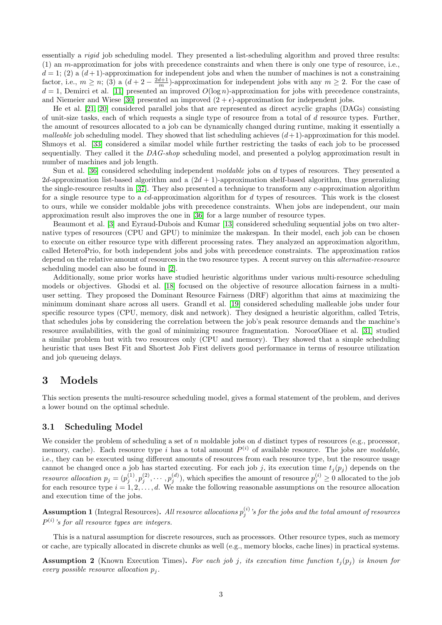essentially a rigid job scheduling model. They presented a list-scheduling algorithm and proved three results: (1) an m-approximation for jobs with precedence constraints and when there is only one type of resource, i.e.,  $d = 1$ ; (2) a  $(d+1)$ -approximation for independent jobs and when the number of machines is not a constraining factor, i.e.,  $m \ge n$ ; (3) a  $(d+2-\frac{2d+1}{m})$ -approximation for independent jobs with any  $m \ge 2$ . For the case of  $d = 1$ , Demirci et al. [\[11\]](#page-16-10) presented an improved  $O(\log n)$ -approximation for jobs with precedence constraints, and Niemeier and Wiese [\[30\]](#page-17-14) presented an improved  $(2 + \epsilon)$ -approximation for independent jobs.

He et al. [\[21,](#page-17-5) [20\]](#page-17-15) considered parallel jobs that are represented as direct acyclic graphs (DAGs) consisting of unit-size tasks, each of which requests a single type of resource from a total of  $d$  resource types. Further, the amount of resources allocated to a job can be dynamically changed during runtime, making it essentially a *malleable* job scheduling model. They showed that list scheduling achieves  $(d+1)$ -approximation for this model. Shmoys et al. [\[33\]](#page-17-16) considered a similar model while further restricting the tasks of each job to be processed sequentially. They called it the DAG-shop scheduling model, and presented a polylog approximation result in number of machines and job length.

Sun et al. [\[36\]](#page-17-4) considered scheduling independent *moldable* jobs on d types of resources. They presented a 2d-approximation list-based algorithm and a  $(2d + 1)$ -approximation shelf-based algorithm, thus generalizing the single-resource results in [\[37\]](#page-17-3). They also presented a technique to transform any c-approximation algorithm for a single resource type to a cd-approximation algorithm for d types of resources. This work is the closest to ours, while we consider moldable jobs with precedence constraints. When jobs are independent, our main approximation result also improves the one in [\[36\]](#page-17-4) for a large number of resource types.

Beaumont et al. [\[3\]](#page-16-11) and Eyraud-Dubois and Kumar [\[13\]](#page-16-12) considered scheduling sequential jobs on two alternative types of resources (CPU and GPU) to minimize the makespan. In their model, each job can be chosen to execute on either resource type with different processing rates. They analyzed an approximation algorithm, called HeteroPrio, for both independent jobs and jobs with precedence constraints. The approximation ratios depend on the relative amount of resources in the two resource types. A recent survey on this *alternative-resource* scheduling model can also be found in [\[2\]](#page-16-13).

Additionally, some prior works have studied heuristic algorithms under various multi-resource scheduling models or objectives. Ghodsi et al. [\[18\]](#page-17-17) focused on the objective of resource allocation fairness in a multiuser setting. They proposed the Dominant Resource Fairness (DRF) algorithm that aims at maximizing the minimum dominant share across all users. Grandl et al. [\[19\]](#page-17-18) considered scheduling malleable jobs under four specific resource types (CPU, memory, disk and network). They designed a heuristic algorithm, called Tetris, that schedules jobs by considering the correlation between the job's peak resource demands and the machine's resource availabilities, with the goal of minimizing resource fragmentation. NoroozOliaee et al. [\[31\]](#page-17-19) studied a similar problem but with two resources only (CPU and memory). They showed that a simple scheduling heuristic that uses Best Fit and Shortest Job First delivers good performance in terms of resource utilization and job queueing delays.

# <span id="page-2-0"></span>3 Models

This section presents the multi-resource scheduling model, gives a formal statement of the problem, and derives a lower bound on the optimal schedule.

#### 3.1 Scheduling Model

We consider the problem of scheduling a set of n moldable jobs on d distinct types of resources (e.g., processor, memory, cache). Each resource type i has a total amount  $P^{(i)}$  of available resource. The jobs are moldable, i.e., they can be executed using different amounts of resources from each resource type, but the resource usage cannot be changed once a job has started executing. For each job j, its execution time  $t_i(p_i)$  depends on the *resource allocation*  $p_j = (p_j^{(1)}, p_j^{(2)}, \cdots, p_j^{(d)})$ , which specifies the amount of resource  $p_j^{(i)} \geq 0$  allocated to the job for each resource type  $i = 1, 2, \ldots, d$ . We make the following reasonable assumptions on the resource allocation and execution time of the jobs.

**Assumption 1** (Integral Resources). All resource allocations  $p_j^{(i)}$  's for the jobs and the total amount of resources  $P^{(i)}$ 's for all resource types are integers.

This is a natural assumption for discrete resources, such as processors. Other resource types, such as memory or cache, are typically allocated in discrete chunks as well (e.g., memory blocks, cache lines) in practical systems.

**Assumption 2** (Known Execution Times). For each job j, its execution time function  $t_i(p_i)$  is known for every possible resource allocation  $p_i$ .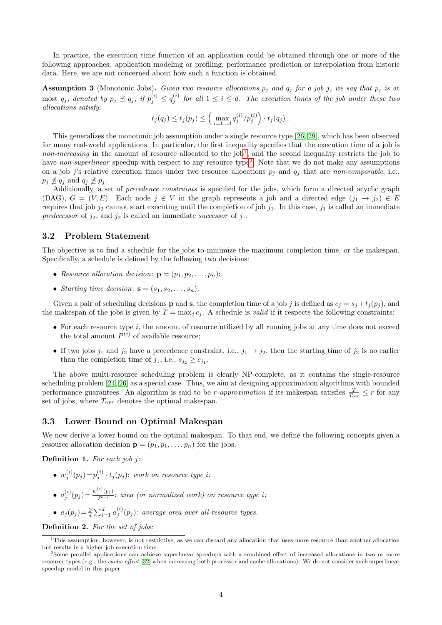In practice, the execution time function of an application could be obtained through one or more of the following approaches: application modeling or profiling, performance prediction or interpolation from historic data. Here, we are not concerned about how such a function is obtained.

<span id="page-3-2"></span>**Assumption 3** (Monotonic Jobs). Given two resource allocations  $p_j$  and  $q_j$  for a job j, we say that  $p_j$  is at  $p_j$  denoted by  $p_j \preceq q_j$ , if  $p_j^{(i)} \leq q_j^{(i)}$  for all  $1 \leq i \leq d$ . The execution times of the job under these two allocations satisfy:

$$
t_j(q_j) \le t_j(p_j) \le \left( \max_{i=1...d} q_j^{(i)}/p_j^{(i)} \right) \cdot t_j(q_j).
$$

This generalizes the monotonic job assumption under a single resource type [\[26,](#page-17-9) [29\]](#page-17-7), which has been observed for many real-world applications. In particular, the first inequality specifies that the execution time of a job is *non-increasing* in the amount of resource allocated to the job<sup>[1](#page-3-0)</sup>, and the second inequality restricts the job to have non-superlinear speedup with respect to any resource type<sup>[2](#page-3-1)</sup>. Note that we do not make any assumptions on a job j's relative execution times under two resource allocations  $p_j$  and  $q_j$  that are non-comparable, i.e.,  $p_j \npreceq q_j$  and  $q_j \npreceq p_j$ .

Additionally, a set of *precedence constraints* is specified for the jobs, which form a directed acyclic graph (DAG),  $G = (V, E)$ . Each node  $j \in V$  in the graph represents a job and a directed edge  $(j_1 \rightarrow j_2) \in E$ requires that job  $j_2$  cannot start executing until the completion of job  $j_1$ . In this case,  $j_1$  is called an immediate predecessor of  $j_2$ , and  $j_2$  is called an immediate successor of  $j_1$ .

## 3.2 Problem Statement

The objective is to find a schedule for the jobs to minimize the maximum completion time, or the makespan. Specifically, a schedule is defined by the following two decisions:

- Resource allocation decision:  $\mathbf{p} = (p_1, p_2, \ldots, p_n);$
- Starting time decision:  $\mathbf{s} = (s_1, s_2, \dots, s_n).$

Given a pair of scheduling decisions **p** and **s**, the completion time of a job j is defined as  $c_j = s_j + t_j (p_j)$ , and the makespan of the jobs is given by  $T = \max_j c_j$ . A schedule is *valid* if it respects the following constraints:

- For each resource type  $i$ , the amount of resource utilized by all running jobs at any time does not exceed the total amount  $P^{(i)}$  of available resource;
- If two jobs  $j_1$  and  $j_2$  have a precedence constraint, i.e.,  $j_1 \to j_2$ , then the starting time of  $j_2$  is no earlier than the completion time of  $j_1$ , i.e.,  $s_{j_2} \geq c_{j_1}$ .

The above multi-resource scheduling problem is clearly NP-complete, as it contains the single-resource scheduling problem [\[24,](#page-17-10) [26\]](#page-17-9) as a special case. Thus, we aim at designing approximation algorithms with bounded performance guarantees. An algorithm is said to be *r*-approximation if its makespan satisfies  $\frac{T}{T_{\text{corr}}} \leq r$  for any set of jobs, where  $T_{\text{OPT}}$  denotes the optimal makespan.

## 3.3 Lower Bound on Optimal Makespan

We now derive a lower bound on the optimal makespan. To that end, we define the following concepts given a resource allocation decision  $\mathbf{p} = (p_1, p_1, \dots, p_n)$  for the jobs.

**Definition 1.** For each job j:

- $w_j^{(i)}(p_j) = p_j^{(i)} \cdot t_j(p_j)$ : work on resource type i;
- $a_j^{(i)}(p_j) = \frac{w_j^{(i)}(p_j)}{P^{(i)}}$  $\frac{p_j^{(1)}(P_j)}{P^{(i)}}$ : area (or normalized work) on resource type i;
- $a_j(p_j) = \frac{1}{d} \sum_{i=1}^d a_j^{(i)}(p_j)$ : average area over all resource types.

Definition 2. For the set of jobs:

<span id="page-3-0"></span><sup>&</sup>lt;sup>1</sup>This assumption, however, is not restrictive, as we can discard any allocation that uses more resource than another allocation but results in a higher job execution time.

<span id="page-3-1"></span><sup>2</sup>Some parallel applications can achieve superlinear speedups with a combined effect of increased allocations in two or more resource types (e.g., the cache effect [\[32\]](#page-17-20) when increasing both processor and cache allocations). We do not consider such superlinear speedup model in this paper.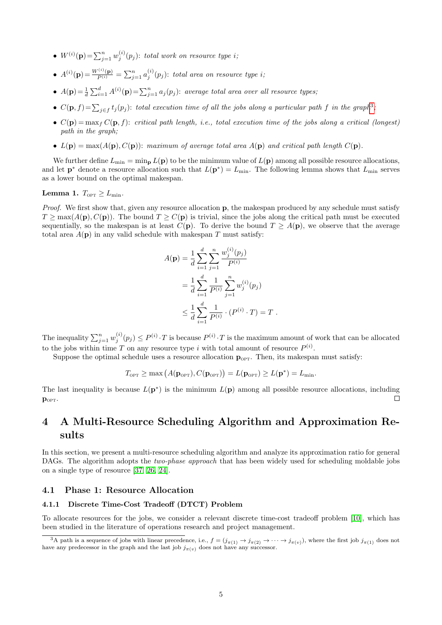- $W^{(i)}(\mathbf{p}) = \sum_{j=1}^{n} w_j^{(i)}(p_j)$ : total work on resource type i;
- $A^{(i)}(\mathbf{p}) = \frac{W^{(i)}(\mathbf{p})}{P^{(i)}} = \sum_{j=1}^{n} a_j^{(i)}(p_j)$ : total area on resource type i;
- $A(\mathbf{p}) = \frac{1}{d} \sum_{i=1}^{d} A^{(i)}(\mathbf{p}) = \sum_{j=1}^{n} a_j(p_j)$ : average total area over all resource types,
- $C(\mathbf{p}, f) = \sum_{j \in f} t_j(p_j)$ : total execution time of all the jobs along a particular path f in the graph<sup>[3](#page-4-1)</sup>;
- $C(\mathbf{p}) = \max_{f} C(\mathbf{p}, f)$ : critical path length, i.e., total execution time of the jobs along a critical (longest) path in the graph;
- $L(\mathbf{p}) = \max(A(\mathbf{p}), C(\mathbf{p}))$ : maximum of average total area  $A(\mathbf{p})$  and critical path length  $C(\mathbf{p})$ .

We further define  $L_{\text{min}} = \min_{\mathbf{p}} L(\mathbf{p})$  to be the minimum value of  $L(\mathbf{p})$  among all possible resource allocations, and let  $\mathbf{p}^*$  denote a resource allocation such that  $L(\mathbf{p}^*) = L_{\text{min}}$ . The following lemma shows that  $L_{\text{min}}$  serves as a lower bound on the optimal makespan.

## <span id="page-4-2"></span>Lemma 1.  $T_{\text{OPT}} > L_{\text{min}}$ .

Proof. We first show that, given any resource allocation p, the makespan produced by any schedule must satisfy  $T \ge \max(A(\mathbf{p}), C(\mathbf{p}))$ . The bound  $T \ge C(\mathbf{p})$  is trivial, since the jobs along the critical path must be executed sequentially, so the makespan is at least  $C(\mathbf{p})$ . To derive the bound  $T \geq A(\mathbf{p})$ , we observe that the average total area  $A(\mathbf{p})$  in any valid schedule with makespan T must satisfy:

$$
A(\mathbf{p}) = \frac{1}{d} \sum_{i=1}^{d} \sum_{j=1}^{n} \frac{w_j^{(i)}(p_j)}{P^{(i)}}
$$
  
= 
$$
\frac{1}{d} \sum_{i=1}^{d} \frac{1}{P^{(i)}} \sum_{j=1}^{n} w_j^{(i)}(p_j)
$$
  

$$
\leq \frac{1}{d} \sum_{i=1}^{d} \frac{1}{P^{(i)}} \cdot (P^{(i)} \cdot T) = T.
$$

The inequality  $\sum_{j=1}^n w_j^{(i)}(p_j) \le P^{(i)} \cdot T$  is because  $P^{(i)} \cdot T$  is the maximum amount of work that can be allocated to the jobs within time T on any resource type i with total amount of resource  $P^{(i)}$ .

Suppose the optimal schedule uses a resource allocation  $\mathbf{p}_{\text{OPT}}$ . Then, its makespan must satisfy:

$$
T_{\text{OPT}} \ge \max\left(A(\mathbf{p}_{\text{OPT}}), C(\mathbf{p}_{\text{OPT}})\right) = L(\mathbf{p}_{\text{OPT}}) \ge L(\mathbf{p}^*) = L_{\min}.
$$

The last inequality is because  $L(\mathbf{p}^*)$  is the minimum  $L(\mathbf{p})$  among all possible resource allocations, including  $\Box$  $\mathbf{p}_{\text{OPT}}$ .

# <span id="page-4-0"></span>4 A Multi-Resource Scheduling Algorithm and Approximation Results

In this section, we present a multi-resource scheduling algorithm and analyze its approximation ratio for general DAGs. The algorithm adopts the *two-phase approach* that has been widely used for scheduling moldable jobs on a single type of resource [\[37,](#page-17-3) [26,](#page-17-9) [24\]](#page-17-10).

## 4.1 Phase 1: Resource Allocation

### 4.1.1 Discrete Time-Cost Tradeoff (DTCT) Problem

To allocate resources for the jobs, we consider a relevant discrete time-cost tradeoff problem [\[10\]](#page-16-14), which has been studied in the literature of operations research and project management.

<span id="page-4-1"></span><sup>&</sup>lt;sup>3</sup>A path is a sequence of jobs with linear precedence, i.e.,  $f = (j_{\pi(1)} \to j_{\pi(2)} \to \cdots \to j_{\pi(v)})$ , where the first job  $j_{\pi(1)}$  does not have any predecessor in the graph and the last job  $j_{\pi(v)}$  does not have any successor.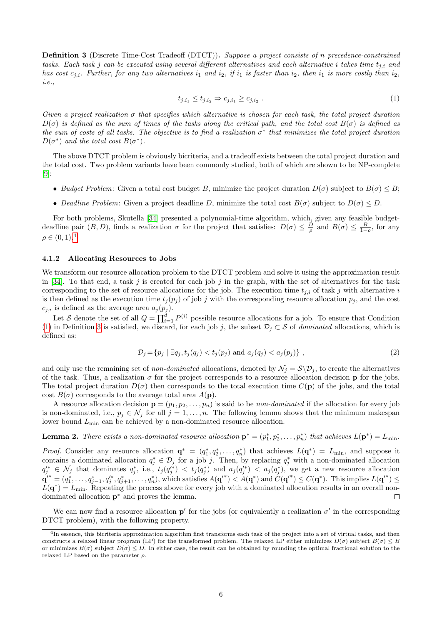<span id="page-5-2"></span>Definition 3 (Discrete Time-Cost Tradeoff (DTCT)). Suppose a project consists of n precedence-constrained tasks. Each task j can be executed using several different alternatives and each alternative i takes time  $t_{j,i}$  and has cost  $c_{j,i}$ . Further, for any two alternatives  $i_1$  and  $i_2$ , if  $i_1$  is faster than  $i_2$ , then  $i_1$  is more costly than  $i_2$ , i.e.,

<span id="page-5-1"></span>
$$
t_{j,i_1} \le t_{j,i_2} \Rightarrow c_{j,i_1} \ge c_{j,i_2} . \tag{1}
$$

Given a project realization  $\sigma$  that specifies which alternative is chosen for each task, the total project duration  $D(\sigma)$  is defined as the sum of times of the tasks along the critical path, and the total cost  $B(\sigma)$  is defined as the sum of costs of all tasks. The objective is to find a realization  $\sigma^*$  that minimizes the total project duration  $D(\sigma^*)$  and the total cost  $B(\sigma^*)$ .

The above DTCT problem is obviously bicriteria, and a tradeoff exists between the total project duration and the total cost. Two problem variants have been commonly studied, both of which are shown to be NP-complete [\[9\]](#page-16-15):

- Budget Problem: Given a total cost budget B, minimize the project duration  $D(\sigma)$  subject to  $B(\sigma) \leq B$ ;
- Deadline Problem: Given a project deadline D, minimize the total cost  $B(\sigma)$  subject to  $D(\sigma) \leq D$ .

For both problems, Skutella [\[34\]](#page-17-21) presented a polynomial-time algorithm, which, given any feasible budgetdeadline pair  $(B, D)$ , finds a realization  $\sigma$  for the project that satisfies:  $D(\sigma) \leq \frac{D}{\rho}$  and  $B(\sigma) \leq \frac{B}{1-\rho}$ , for any  $\rho \in (0, 1).^{4}$  $\rho \in (0, 1).^{4}$  $\rho \in (0, 1).^{4}$ 

#### 4.1.2 Allocating Resources to Jobs

We transform our resource allocation problem to the DTCT problem and solve it using the approximation result in [\[34\]](#page-17-21). To that end, a task j is created for each job j in the graph, with the set of alternatives for the task corresponding to the set of resource allocations for the job. The execution time  $t_{j,i}$  of task j with alternative i is then defined as the execution time  $t_j(p_j)$  of job j with the corresponding resource allocation  $p_j$ , and the cost  $c_{j,i}$  is defined as the average area  $a_j(p_j)$ .

Let S denote the set of all  $Q = \prod_{i=1}^d P^{(i)}$  possible resource allocations for a job. To ensure that Condition [\(1\)](#page-5-1) in Definition [3](#page-5-2) is satisfied, we discard, for each job j, the subset  $\mathcal{D}_j \subset \mathcal{S}$  of dominated allocations, which is defined as:

<span id="page-5-4"></span>
$$
\mathcal{D}_j = \{ p_j \mid \exists q_j, t_j(q_j) < t_j(p_j) \text{ and } a_j(q_j) < a_j(p_j) \},\tag{2}
$$

and only use the remaining set of *non-dominated* allocations, denoted by  $\mathcal{N}_j = \mathcal{S} \backslash \mathcal{D}_j$ , to create the alternatives of the task. Thus, a realization  $\sigma$  for the project corresponds to a resource allocation decision **p** for the jobs. The total project duration  $D(\sigma)$  then corresponds to the total execution time  $C(\mathbf{p})$  of the jobs, and the total cost  $B(\sigma)$  corresponds to the average total area  $A(\mathbf{p})$ .

A resource allocation decision  $\mathbf{p} = (p_1, p_2, \dots, p_n)$  is said to be *non-dominated* if the allocation for every job is non-dominated, i.e.,  $p_j \in \mathcal{N}_j$  for all  $j = 1, \ldots, n$ . The following lemma shows that the minimum makespan lower bound  $L_{\text{min}}$  can be achieved by a non-dominated resource allocation.

<span id="page-5-3"></span>**Lemma 2.** There exists a non-dominated resource allocation  $\mathbf{p}^* = (p_1^*, p_2^*, \dots, p_n^*)$  that achieves  $L(\mathbf{p}^*) = L_{\text{min}}$ .

*Proof.* Consider any resource allocation  $\mathbf{q}^* = (q_1^*, q_2^*, \dots, q_n^*)$  that achieves  $L(\mathbf{q}^*) = L_{\min}$ , and suppose it contains a dominated allocation  $q_j^* \in \mathcal{D}_j$  for a job j. Then, by replacing  $q_j^*$  with a non-dominated allocation  $q_j^{\prime*} \in \mathcal{N}_j$  that dominates  $q_j^*$ , i.e.,  $t_j(q_j^*) < t_j(q_j^*)$  and  $a_j(q_j'^*) < a_j(q_j^*)$ , we get a new resource allocation  $\mathbf{q'}^* = (q_1^*, \ldots, q_{j-1}^*, q_j^*, q_{j+1}^*, \ldots, q_n^*)$ , which satisfies  $A(\mathbf{q'}^*) \lt A(\mathbf{q}^*)$  and  $C(\mathbf{q'}^*) \leq C(\mathbf{q}^*)$ . This implies  $L(\mathbf{q'}^*) \leq C(\mathbf{q}^*)$  $L(\mathbf{q}^*) = L_{\text{min}}$ . Repeating the process above for every job with a dominated allocation results in an overall nondominated allocation p <sup>∗</sup> and proves the lemma.  $\Box$ 

We can now find a resource allocation  $p'$  for the jobs (or equivalently a realization  $\sigma'$  in the corresponding DTCT problem), with the following property.

<span id="page-5-0"></span><sup>&</sup>lt;sup>4</sup>In essence, this bicriteria approximation algorithm first transforms each task of the project into a set of virtual tasks, and then constructs a relaxed linear program (LP) for the transformed problem. The relaxed LP either minimizes  $D(\sigma)$  subject  $B(\sigma) \leq B$ or minimizes  $B(\sigma)$  subject  $D(\sigma) \leq D$ . In either case, the result can be obtained by rounding the optimal fractional solution to the relaxed LP based on the parameter  $\rho$ .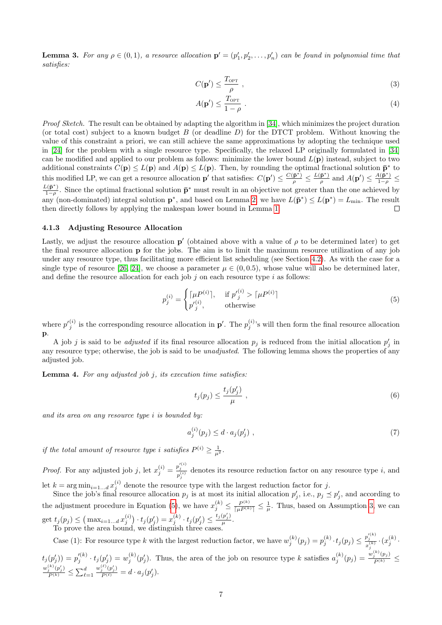<span id="page-6-6"></span>**Lemma 3.** For any  $\rho \in (0,1)$ , a resource allocation  $\mathbf{p}' = (p'_1, p'_2, \ldots, p'_n)$  can be found in polynomial time that satisfies:

$$
C(\mathbf{p}') \le \frac{T_{\text{OPT}}}{\rho} \tag{3}
$$

<span id="page-6-2"></span><span id="page-6-1"></span>
$$
A(\mathbf{p}') \le \frac{T_{\text{OPT}}}{1 - \rho} \tag{4}
$$

Proof Sketch. The result can be obtained by adapting the algorithm in [\[34\]](#page-17-21), which minimizes the project duration (or total cost) subject to a known budget  $B$  (or deadline  $D$ ) for the DTCT problem. Without knowing the value of this constraint a priori, we can still achieve the same approximations by adopting the technique used in [\[24\]](#page-17-10) for the problem with a single resource type. Specifically, the relaxed LP originally formulated in [\[34\]](#page-17-21) can be modified and applied to our problem as follows: minimize the lower bound  $L(\mathbf{p})$  instead, subject to two additional constraints  $C(\mathbf{p}) \le L(\mathbf{p})$  and  $A(\mathbf{p}) \le L(\mathbf{p})$ . Then, by rounding the optimal fractional solution  $\bar{\mathbf{p}}^*$  to this modified LP, we can get a resource allocation **p**' that satisfies:  $C(p') \leq \frac{C(p^*)}{\rho} \leq \frac{L(p^*)}{\rho}$ s modified LP, we can get a resource allocation **p**' that satisfies:  $C(\mathbf{p}') \leq \frac{C(\mathbf{p}^*)}{\rho} \leq \frac{L(\mathbf{p}^*)}{\rho}$  and  $A(\mathbf{p}') \leq \frac{A(\mathbf{p}^*)}{1-\rho} \leq$  $L(\mathbf{\bar{p}}^*)$  $\frac{1}{1-\rho}$ . Since the optimal fractional solution  $\bar{\mathbf{p}}^*$  must result in an objective not greater than the one achieved by any (non-dominated) integral solution  $\mathbf{p}^*$ , and based on Lemma [2,](#page-5-3) we have  $L(\mathbf{\bar{p}}^*) \leq L(\mathbf{p}^*) = L_{\min}$ . The result then directly follows by applying the makespan lower bound in Lemma [1.](#page-4-2) П

#### 4.1.3 Adjusting Resource Allocation

Lastly, we adjust the resource allocation  $p'$  (obtained above with a value of  $\rho$  to be determined later) to get the final resource allocation p for the jobs. The aim is to limit the maximum resource utilization of any job under any resource type, thus facilitating more efficient list scheduling (see Section [4.2\)](#page-7-0). As with the case for a single type of resource [\[26,](#page-17-9) [24\]](#page-17-10), we choose a parameter  $\mu \in (0, 0.5)$ , whose value will also be determined later, and define the resource allocation for each job  $j$  on each resource type  $i$  as follows:

$$
p_j^{(i)} = \begin{cases} \lceil \mu P^{(i)} \rceil, & \text{if } p_j^{(i)} > \lceil \mu P^{(i)} \rceil \\ p_j^{(i)}, & \text{otherwise} \end{cases} \tag{5}
$$

where  $p_j^{(i)}$  is the corresponding resource allocation in  $p'$ . The  $p_j^{(i)}$ 's will then form the final resource allocation p.

A job j is said to be *adjusted* if its final resource allocation  $p_j$  is reduced from the initial allocation  $p'_j$  in any resource type; otherwise, the job is said to be *unadjusted*. The following lemma shows the properties of any adjusted job.

<span id="page-6-5"></span>**Lemma 4.** For any adjusted job  $j$ , its execution time satisfies:

<span id="page-6-4"></span><span id="page-6-3"></span><span id="page-6-0"></span>
$$
t_j(p_j) \le \frac{t_j(p'_j)}{\mu} \t{6}
$$

and its area on any resource type i is bounded by:

$$
a_j^{(i)}(p_j) \le d \cdot a_j(p'_j) \tag{7}
$$

if the total amount of resource type i satisfies  $P^{(i)} \geq \frac{1}{\mu^2}$ .

*Proof.* For any adjusted job j, let  $x_j^{(i)} = \frac{p_j^{(i)}}{p_j^{(i)}}$  denotes its resource reduction factor on any resource type i, and let  $k = \arg \min_{i=1...d} x_j^{(i)}$  denote the resource type with the largest reduction factor for j.

Since the job's final resource allocation  $p_j$  is at most its initial allocation  $p'_j$ , i.e.,  $p_j \preceq p'_j$ , and according to the adjustment procedure in Equation [\(5\)](#page-6-0), we have  $x_j^{(k)} \leq \frac{P^{(k)}}{\lceil \mu P^{(k)} \rceil} \leq \frac{1}{\mu}$ . Thus, based on Assumption [3,](#page-3-2) we can get  $t_j(p_j) \leq (\max_{i=1...d} x_j^{(i)}) \cdot t_j(p'_j) = x_j^{(k)} \cdot t_j(p'_j) \leq \frac{t_j(p'_j)}{\mu}$  $\frac{\mu_{j}}{\mu}$ . To prove the area bound, we distinguish three cases.

Case (1): For resource type k with the largest reduction factor, we have  $w_j^{(k)}(p_j) = p_j^{(k)} \cdot t_j(p_j) \leq \frac{p_j^{(k)}}{r^{(k)}} \cdot (x_j^{(k)} \cdot t_j)$  $x_j^{\langle}$  $(t_j(p'_j)) = p'^{(k)}_j \cdot t_j(p'_j) = w^{(k)}_j(p'_j)$ . Thus, the area of the job on resource type k satisfies  $a_j^{(k)}(p_j) = \frac{w_j^{(k)}(p_j)}{P^{(k)}} \leq$  $\frac{w_j^{(k)}(p'_j)}{P^{(k)}} \leq \sum_{\ell=1}^d$  $\frac{w_j^{(\ell)}(p'_j)}{P^{(\ell)}}=d\cdot a_j(p'_j).$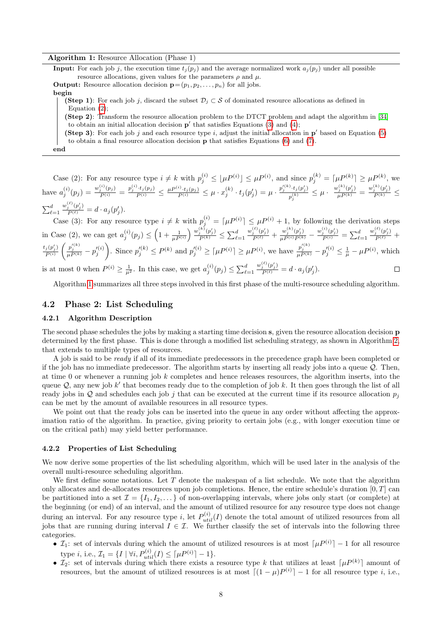#### Algorithm 1: Resource Allocation (Phase 1)

<span id="page-7-1"></span>**Input:** For each job j, the execution time  $t_i(p_i)$  and the average normalized work  $a_i(p_i)$  under all possible resource allocations, given values for the parameters  $\rho$  and  $\mu$ .

**Output:** Resource allocation decision  $\mathbf{p} = (p_1, p_2, \dots, p_n)$  for all jobs.

begin

(Step 1): For each job j, discard the subset  $\mathcal{D}_j \subset \mathcal{S}$  of dominated resource allocations as defined in Equation [\(2\)](#page-5-4);

(Step 2): Transform the resource allocation problem to the DTCT problem and adapt the algorithm in [\[34\]](#page-17-21) to obtain an initial allocation decision  $p'$  that satisfies Equations [\(3\)](#page-6-1) and [\(4\)](#page-6-2);

(Step 3): For each job j and each resource type i, adjust the initial allocation in  $p'$  based on Equation [\(5\)](#page-6-0) to obtain a final resource allocation decision p that satisfies Equations [\(6\)](#page-6-3) and [\(7\)](#page-6-4).

end

Case (2): For any resource type  $i \neq k$  with  $p_j^{(i)} \leq \lfloor \mu P^{(i)} \rfloor \leq \mu P^{(i)}$ , and since  $p_j^{(k)} = \lceil \mu P^{(k)} \rceil \geq \mu P^{(k)}$ , we have  $a_j^{(i)}(p_j) = \frac{w_j^{(i)}(p_j)}{P^{(i)}} = \frac{p_j^{(i)} \cdot t_j(p_j)}{P^{(i)}} \leq \frac{\mu P^{(i)} \cdot t_j(p_j)}{P^{(i)}} \leq \mu \cdot x_j^{(k)} \cdot t_j(p'_j) = \mu \cdot \frac{p_j^{\prime(k)} \cdot t_j(p'_j)}{p^{(k)}}$  $\frac{p_j^{(k)}\cdot t_j(p'_j)}{p_i^{(k)}} \leq \mu \cdot \ \frac{w_j^{(k)}(p'_j)}{\mu^{P(k)}} = \frac{w_j^{(k)}(p'_j)}{P^{(k)}} \leq$ j  $\sum_{\ell=1}^d$  $\frac{w_j^{(\ell)}(p'_j)}{P^{(\ell)}}=d\cdot a_j(p'_j).$ 

Case (3): For any resource type  $i \neq k$  with  $p_j^{(i)} = \lceil \mu P^{(i)} \rceil \leq \mu P^{(i)} + 1$ , by following the derivation steps in Case (2), we can get  $a_j^{(i)}(p_j) \leq \left(1 + \frac{1}{\mu P^{(i)}}\right) \frac{w_j^{(k)}(p'_j)}{P^{(k)}} \leq \sum_{\ell=1}^d$  $\frac{w_j^{(\ell)}(p'_j)}{P^{(\ell)}} + \frac{w_j^{(k)}(p'_j)}{\mu P^{(i)} P^{(k)}} - \frac{w_j^{(i)}(p'_j)}{P^{(i)}} = \sum_{\ell=1}^d$  $\frac{w_j^{(\ell)}(p'_j)}{P^{(\ell)}}$  +  $\left(\frac{p_j^{\prime (k)}}{\mu P^{(k)}} - p_j^{\prime (i)}\right)$ ond  $p'_{j}^{(k)}$  ≤  $P^{(k)}$  and  $p'_{j}^{(i)}$  ≥ [μ $P^{(i)}$ ] ≥ μ $P^{(i)}$ , we have  $\frac{p'_{j}^{(k)}}{\mu P^{(k)}} - p'_{j}^{(i)} \leq \frac{1}{\mu} - \mu P^{(i)}$ , which  $t_j(p'_j)$  $P^{(i)}$  $\frac{w_j^{(\ell)}(p'_j)}{P^{(\ell)}}=d\cdot a_j(p'_j).$ is at most 0 when  $P^{(i)} \geq \frac{1}{\mu^2}$ . In this case, we get  $a_j^{(i)}(p_j) \leq \sum_{\ell=1}^d$  $\Box$ 

Algorithm [1](#page-7-1) summarizes all three steps involved in this first phase of the multi-resource scheduling algorithm.

# <span id="page-7-0"></span>4.2 Phase 2: List Scheduling

#### 4.2.1 Algorithm Description

The second phase schedules the jobs by making a starting time decision s, given the resource allocation decision p determined by the first phase. This is done through a modified list scheduling strategy, as shown in Algorithm [2,](#page-8-0) that extends to multiple types of resources.

A job is said to be ready if all of its immediate predecessors in the precedence graph have been completed or if the job has no immediate predecessor. The algorithm starts by inserting all ready jobs into a queue Q. Then, at time 0 or whenever a running job k completes and hence releases resources, the algorithm inserts, into the queue  $Q$ , any new job k' that becomes ready due to the completion of job k. It then goes through the list of all ready jobs in Q and schedules each job j that can be executed at the current time if its resource allocation  $p_i$ can be met by the amount of available resources in all resource types.

We point out that the ready jobs can be inserted into the queue in any order without affecting the approximation ratio of the algorithm. In practice, giving priority to certain jobs (e.g., with longer execution time or on the critical path) may yield better performance.

#### 4.2.2 Properties of List Scheduling

We now derive some properties of the list scheduling algorithm, which will be used later in the analysis of the overall multi-resource scheduling algorithm.

We first define some notations. Let  $T$  denote the makespan of a list schedule. We note that the algorithm only allocates and de-allocates resources upon job completions. Hence, the entire schedule's duration  $[0, T]$  can be partitioned into a set  $\mathcal{I} = \{I_1, I_2, \dots\}$  of non-overlapping intervals, where jobs only start (or complete) at the beginning (or end) of an interval, and the amount of utilized resource for any resource type does not change during an interval. For any resource type i, let  $P_{util}^{(i)}(I)$  denote the total amount of utilized resources from all jobs that are running during interval  $I \in \mathcal{I}$ . We further classify the set of intervals into the following three categories.

- $\mathcal{I}_1$ : set of intervals during which the amount of utilized resources is at most  $\lceil \mu P^{(i)} \rceil 1$  for all resource type *i*, i.e.,  $\mathcal{I}_1 = \{I \mid \forall i, P_{util}^{(i)}(I) \leq \lceil \mu P^{(i)} \rceil - 1\}.$
- $\mathcal{I}_2$ : set of intervals during which there exists a resource type k that utilizes at least  $\lceil \mu P^{(k)} \rceil$  amount of resources, but the amount of utilized resources is at most  $[(1 - \mu)P^{(i)}] - 1$  for all resource type i, i.e.,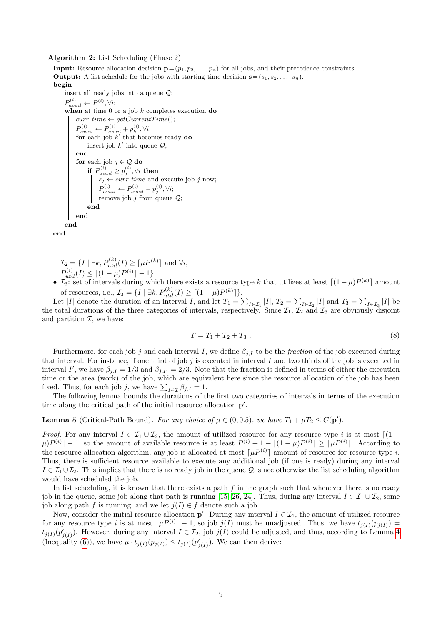Algorithm 2: List Scheduling (Phase 2)

<span id="page-8-0"></span>**Input:** Resource allocation decision  $\mathbf{p} = (p_1, p_2, \dots, p_n)$  for all jobs, and their precedence constraints. **Output:** A list schedule for the jobs with starting time decision  $\mathbf{s} = (s_1, s_2, \dots, s_n)$ . begin insert all ready jobs into a queue Q;  $P_{avail}^{(i)} \leftarrow P^{(i)}, \forall i;$ when at time  $0$  or a job k completes execution do  $curr_time \leftarrow getCurrentTime();$  $P_{avail}^{(i)} \leftarrow P_{avail}^{(i)} + p_k^{(i)}, \forall i;$ for each job  $k'$  that becomes ready do insert job  $k'$  into queue  $\mathcal{Q};$ end for each job  $j \in \mathcal{Q}$  do if  $P_{avail}^{(i)} \geq p_j^{(i)}, \forall i$  then

 $\mathcal{I}_2 = \{I \mid \exists k, P_{util}^{(k)}(I) \geq \lceil \mu P^{(k)} \rceil \text{ and } \forall i,$  $P_{util}^{(i)}(I) \leq \lceil (1 - \mu)P^{(i)} \rceil - 1$ .

end end end end

 $s_j \leftarrow curr\_time$  and execute job j now;

 $P_{avail}^{(i)} \leftarrow P_{avail}^{(i)} - p_j^{(i)}, \forall i;$ remove job  $j$  from queue  $\mathcal{Q}$ ;

•  $\mathcal{I}_3$ : set of intervals during which there exists a resource type k that utilizes at least  $\lceil (1-\mu)P^{(k)} \rceil$  amount of resources, i.e.,  $\mathcal{I}_3 = \{I \mid \exists k, P_{util}^{(k)}(I) \geq \lceil (1 - \mu)P^{(k)} \rceil \}.$ 

Let |I| denote the duration of an interval I, and let  $T_1 = \sum_{I \in I_1} |I|$ ,  $T_2 = \sum_{I \in I_2} |I|$  and  $T_3 = \sum_{I \in I_3} |I|$  be the total durations of the three categories of intervals, respectively. Since  $\mathcal{I}_1$ ,  $\mathcal{I}_2$  and  $\mathcal{I}_3$  are obviously disjoint and partition  $\mathcal{I}$ , we have:

<span id="page-8-2"></span>
$$
T = T_1 + T_2 + T_3 \tag{8}
$$

Furthermore, for each job j and each interval I, we define  $\beta_{i,I}$  to be the fraction of the job executed during that interval. For instance, if one third of job  $j$  is executed in interval  $I$  and two thirds of the job is executed in interval I', we have  $\beta_{j,I} = 1/3$  and  $\beta_{j,I'} = 2/3$ . Note that the fraction is defined in terms of either the execution time or the area (work) of the job, which are equivalent here since the resource allocation of the job has been fixed. Thus, for each job j, we have  $\sum_{I \in \mathcal{I}} \beta_{j,I} = 1$ .

The following lemma bounds the durations of the first two categories of intervals in terms of the execution time along the critical path of the initial resource allocation  $p'$ .

<span id="page-8-1"></span>**Lemma 5** (Critical-Path Bound). For any choice of  $\mu \in (0, 0.5)$ , we have  $T_1 + \mu T_2 \le C(\mathbf{p}')$ .

*Proof.* For any interval  $I \in \mathcal{I}_1 \cup \mathcal{I}_2$ , the amount of utilized resource for any resource type i is at most  $\lceil (1 - \frac{1}{2})^2 \rceil$  $\mu$ ) $P^{(i)}$ ] – 1, so the amount of available resource is at least  $P^{(i)} + 1 - [(1 - \mu)P^{(i)}] \geq [\mu P^{(i)}]$ . According to the resource allocation algorithm, any job is allocated at most  $\lceil \mu P^{(i)} \rceil$  amount of resource for resource type i. Thus, there is sufficient resource available to execute any additional job (if one is ready) during any interval  $I \in \mathcal{I}_1 \cup \mathcal{I}_2$ . This implies that there is no ready job in the queue Q, since otherwise the list scheduling algorithm would have scheduled the job.

In list scheduling, it is known that there exists a path  $f$  in the graph such that whenever there is no ready job in the queue, some job along that path is running [\[15,](#page-16-9) [26,](#page-17-9) [24\]](#page-17-10). Thus, during any interval  $I \in \mathcal{I}_1 \cup \mathcal{I}_2$ , some job along path f is running, and we let  $j(I) \in f$  denote such a job.

Now, consider the initial resource allocation  $p'$ . During any interval  $I \in \mathcal{I}_1$ , the amount of utilized resource for any resource type i is at most  $\lceil \mu P^{(i)} \rceil - 1$ , so job  $j(I)$  must be unadjusted. Thus, we have  $t_{j(I)}(p_{j(I)}) =$  $t_{j(I)}(p'_{j(I)})$ . However, during any interval  $I \in \mathcal{I}_2$ , job  $j(I)$  could be adjusted, and thus, according to Lemma [4](#page-6-5) (Inequality [\(6\)](#page-6-3)), we have  $\mu \cdot t_{j(I)}(p_{j(I)}) \leq t_{j(I)}(p'_{j(I)})$ . We can then derive: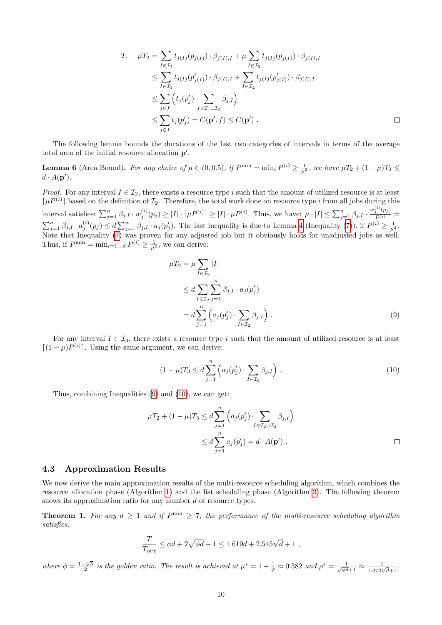$$
T_1 + \mu T_2 = \sum_{I \in \mathcal{I}_1} t_{j(I)}(p_{j(I)}) \cdot \beta_{j(I),I} + \mu \sum_{I \in \mathcal{I}_2} t_{j(I)}(p_{j(I)}) \cdot \beta_{j(I),I}
$$
  
\n
$$
\leq \sum_{I \in \mathcal{I}_1} t_{j(I)}(p'_{j(I)}) \cdot \beta_{j(I),I} + \sum_{I \in \mathcal{I}_2} t_{j(I)}(p'_{j(I)}) \cdot \beta_{j(I),I}
$$
  
\n
$$
\leq \sum_{j \in f} \left( t_j(p'_j) \cdot \sum_{I \in \mathcal{I}_1 \cup \mathcal{I}_2} \beta_{j,I} \right)
$$
  
\n
$$
\leq \sum_{j \in f} t_j(p'_j) = C(\mathbf{p}', f) \leq C(\mathbf{p}') .
$$

The following lemma bounds the durations of the last two categories of intervals in terms of the average total area of the initial resource allocation  $p'$ .

<span id="page-9-2"></span>**Lemma 6** (Area Bound). For any choice of  $\mu \in (0, 0.5)$ , if  $P^{\min} = \min_i P^{(i)} \ge \frac{1}{\mu^2}$ , we have  $\mu T_2 + (1 - \mu)T_3 \le$  $d \cdot A(\mathbf{p}')$ .

*Proof.* For any interval  $I \in \mathcal{I}_2$ , there exists a resource type i such that the amount of utilized resource is at least  $\lceil \mu P^{(i)} \rceil$  based on the definition of  $\mathcal{I}_2$ . Therefore, the total work done on resource type i from all jobs during this interval satisfies:  $\sum_{j=1}^n \beta_{j,I} \cdot w_j^{(i)}(p_j) \geq |I| \cdot \lceil \mu P^{(i)} \rceil \geq |I| \cdot \mu P^{(i)}$ . Thus, we have:  $\mu \cdot |I| \leq \sum_{j=1}^n \beta_{j,I} \cdot \frac{w_j^{(i)}(p_j)}{P^{(i)}}$  $\sum_{j=1}^n \beta_{j,I} \cdot a_j^{(i)}(p_j) \leq d \sum_{j=1}^n \beta_{j,I} \cdot a_j(p'_j)$ . The last inequality is due to Lemma [4](#page-6-5) (Inequality [\(7\)](#page-6-4)), if  $P^{(i)} \geq \frac{1}{\mu^2}$ . Note that Inequality [\(7\)](#page-6-4) was proven for any adjusted job but it obviously holds for unadjusted jobs as well. Thus, if  $P^{\min} = \min_{i=1...d} P^{(i)} \geq \frac{1}{\mu^2}$ , we can derive:

<span id="page-9-0"></span>
$$
\mu T_2 = \mu \sum_{I \in \mathcal{I}_2} |I|
$$
  
\n
$$
\leq d \sum_{I \in \mathcal{I}_2} \sum_{j=1}^n \beta_{j,I} \cdot a_j(p'_j)
$$
  
\n
$$
= d \sum_{j=1}^n \left( a_j(p'_j) \cdot \sum_{I \in \mathcal{I}_2} \beta_{j,I} \right).
$$
\n(9)

For any interval  $I \in \mathcal{I}_3$ , there exists a resource type i such that the amount of utilized resource is at least  $[(1 - \mu)P^{(i)}]$ . Using the same argument, we can derive:

<span id="page-9-1"></span>
$$
(1 - \mu)T_3 \le d \sum_{j=1}^n \left( a_j(p'_j) \cdot \sum_{I \in \mathcal{I}_3} \beta_{j,I} \right). \tag{10}
$$

Thus, combining Inequalities [\(9\)](#page-9-0) and [\(10\)](#page-9-1), we can get:

$$
\mu T_2 + (1 - \mu) T_3 \le d \sum_{j=1}^n \left( a_j(p'_j) \cdot \sum_{I \in \mathcal{I}_2 \cup \mathcal{I}_3} \beta_{j,I} \right)
$$
  
 
$$
\le d \sum_{j=1}^n a_j(p'_j) = d \cdot A(\mathbf{p}') .
$$

# 4.3 Approximation Results

We now derive the main approximation results of the multi-resource scheduling algorithm, which combines the resource allocation phase (Algorithm [1\)](#page-7-1) and the list scheduling phase (Algorithm [2\)](#page-8-0). The following theorem shows its approximation ratio for any number  $d$  of resource types.

<span id="page-9-3"></span>**Theorem 1.** For any  $d \geq 1$  and if  $P^{\min} \geq 7$ , the performance of the multi-resource scheduling algorithm satisfies:

$$
\frac{T}{T_{\text{OPT}}} \leq \phi d + 2\sqrt{\phi d} + 1 \leq 1.619d + 2.545\sqrt{d} + 1 ,
$$

where  $\phi = \frac{1+\sqrt{5}}{2}$  is the golden ratio. The result is achieved at  $\mu^* = 1 - \frac{1}{\phi} \approx 0.382$  and  $\rho^* = \frac{1}{\sqrt{\phi d+1}} \approx \frac{1}{1.272\sqrt{d+1}}$ .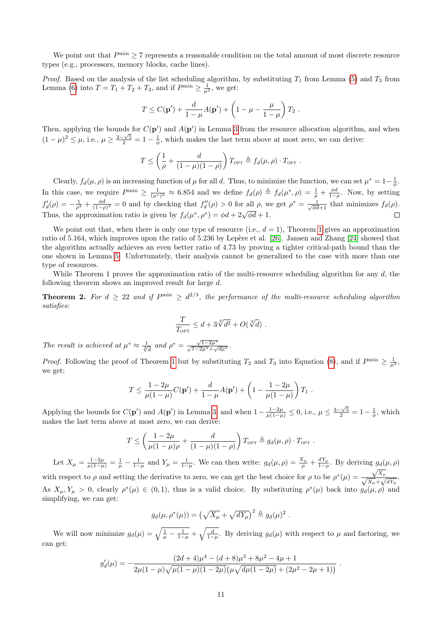We point out that  $P^{\min} \geq 7$  represents a reasonable condition on the total amount of most discrete resource types (e.g., processors, memory blocks, cache lines).

*Proof.* Based on the analysis of the list scheduling algorithm, by substituting  $T_1$  from Lemma [\(5\)](#page-8-1) and  $T_3$  from Lemma [\(6\)](#page-9-2) into  $T = T_1 + T_2 + T_3$ , and if  $P^{\min} \ge \frac{1}{\mu^2}$ , we get:

$$
T \le C(\mathbf{p}') + \frac{d}{1-\mu}A(\mathbf{p}') + \left(1 - \mu - \frac{\mu}{1-\mu}\right)T_2.
$$

Then, applying the bounds for  $C(p')$  and  $A(p')$  in Lemma [3](#page-6-6) from the resource allocation algorithm, and when (1 −  $\mu$ )<sup>2</sup>  $\leq \mu$ , i.e.,  $\mu \geq \frac{3-\sqrt{5}}{2} = 1 - \frac{1}{\phi}$ , which makes the last term above at most zero, we can derive:

$$
T \leq \left(\frac{1}{\rho} + \frac{d}{(1-\mu)(1-\rho)}\right) T_{\text{OPT}} \triangleq f_d(\mu, \rho) \cdot T_{\text{OPT}}.
$$

Clearly,  $f_d(\mu, \rho)$  is an increasing function of  $\mu$  for all d. Thus, to minimize the function, we can set  $\mu^* = 1 - \frac{1}{\phi}$ . In this case, we require  $P^{\min} \geq \frac{1}{(\mu^*)^2} \approx 6.854$  and we define  $f_d(\rho) \triangleq f_d(\mu^*, \rho) = \frac{1}{\rho} + \frac{\phi d}{1-\rho}$ . Now, by setting  $f'_{d}(\rho) = -\frac{1}{\rho^2} + \frac{\phi d}{(1-\rho)^2} = 0$  and by checking that  $f''_{d}(\rho) > 0$  for all  $\rho$ , we get  $\rho^* = \frac{1}{\sqrt{\phi d+1}}$  that minimizes  $f_{d}(\rho)$ . Thus, the approximation ratio is given by  $f_d(\mu^*, \rho^*) = \phi d + 2\sqrt{\phi d} + 1$ .  $\Box$ 

We point out that, when there is only one type of resource (i.e.,  $d = 1$  $d = 1$ ), Theorem 1 gives an approximation ratio of 5.164, which improves upon the ratio of 5.236 by Lepère et al. [\[26\]](#page-17-9). Jansen and Zhang [\[24\]](#page-17-10) showed that the algorithm actually achieves an even better ratio of 4.73 by proving a tighter critical-path bound than the one shown in Lemma [5.](#page-8-1) Unfortunately, their analysis cannot be generalized to the case with more than one type of resources.

While Theorem 1 proves the approximation ratio of the multi-resource scheduling algorithm for any  $d$ , the following theorem shows an improved result for large d.

<span id="page-10-0"></span>**Theorem 2.** For  $d \geq 22$  and if  $P^{\min} \geq d^{2/3}$ , the performance of the multi-resource scheduling algorithm satisfies:

$$
\frac{T}{T_{\text{OPT}}} \leq d + 3\sqrt[3]{d^2} + O(\sqrt[3]{d}) .
$$

The result is achieved at  $\mu^* \approx \frac{1}{\sqrt[3]{d}}$  and  $\rho^* = \frac{\sqrt{1-2\mu^*}}{\sqrt{1-2\mu^*}+\sqrt{d\mu^*}}$ .

*Proof.* Following the proof of Theorem [1](#page-9-3) but by substituting  $T_2$  and  $T_3$  into Equation [\(8\)](#page-8-2), and if  $P^{\min} \geq \frac{1}{\mu^2}$ . we get:

$$
T \leq \frac{1 - 2\mu}{\mu(1 - \mu)} C(\mathbf{p}') + \frac{d}{1 - \mu} A(\mathbf{p}') + \left(1 - \frac{1 - 2\mu}{\mu(1 - \mu)}\right) T_1.
$$

Applying the bounds for  $C(\mathbf{p}')$  and  $A(\mathbf{p}')$  in Lemma [3,](#page-6-6) and when  $1 - \frac{1-2\mu}{\mu(1-\mu)} \le 0$ , i.e.,  $\mu \le \frac{3-\sqrt{5}}{2} = 1 - \frac{1}{\phi}$ , which makes the last term above at most zero, we can derive:

$$
T \leq \left(\frac{1-2\mu}{\mu(1-\mu)\rho} + \frac{d}{(1-\mu)(1-\rho)}\right) T_{\text{OPT}} \triangleq g_d(\mu, \rho) \cdot T_{\text{OPT}}.
$$

Let  $X_{\mu} = \frac{1-2\mu}{\mu(1-\mu)} = \frac{1}{\mu} - \frac{1}{1-\mu}$  and  $Y_{\mu} = \frac{1}{1-\mu}$ . We can then write:  $g_d(\mu, \rho) = \frac{X_{\mu}}{\rho} + \frac{dY_{\mu}}{1-\rho}$ . By deriving  $g_d(\mu, \rho)$ 

with respect to  $\rho$  and setting the derivative to zero, we can get the best choice for  $\rho$  to be  $\rho^*(\mu) = \frac{\sqrt{X_\mu}}{\sqrt{X_\mu} + \sqrt{dY_\mu}}$ . As  $X_{\mu}, Y_{\mu} > 0$ , clearly  $\rho^*(\mu) \in (0,1)$ , thus is a valid choice. By substituting  $\rho^*(\mu)$  back into  $g_d(\mu, \rho)$  and simplifying, we can get:

$$
g_d(\mu, \rho^*(\mu)) = \left(\sqrt{X_\mu} + \sqrt{dY_\mu}\right)^2 \triangleq g_d(\mu)^2.
$$

We will now minimize  $g_d(\mu) = \sqrt{\frac{1}{\mu} - \frac{1}{1-\mu}} + \sqrt{\frac{d}{1-\mu}}$ . By deriving  $g_d(\mu)$  with respect to  $\mu$  and factoring, we can get:

$$
g'_d(\mu) = -\frac{(2d+4)\mu^4 - (d+8)\mu^3 + 8\mu^2 - 4\mu + 1}{2\mu(1-\mu)\sqrt{\mu(1-\mu)(1-2\mu)}\left(\mu\sqrt{d\mu(1-2\mu)} + (2\mu^2 - 2\mu + 1)\right)}.
$$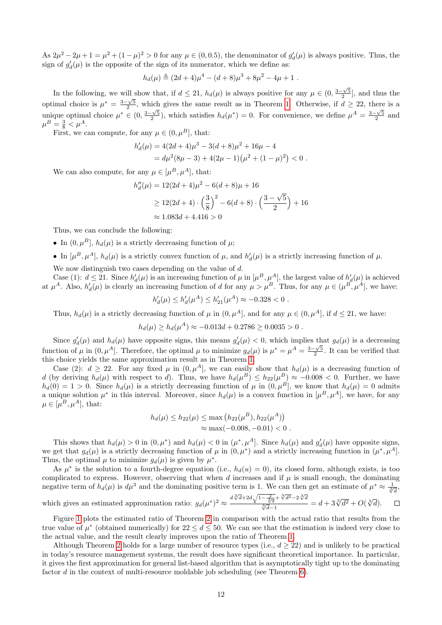As  $2\mu^2 - 2\mu + 1 = \mu^2 + (1 - \mu)^2 > 0$  for any  $\mu \in (0, 0.5)$ , the denominator of  $g_d'(\mu)$  is always positive. Thus, the sign of  $g_d'(\mu)$  is the opposite of the sign of its numerator, which we define as:

$$
h_d(\mu) \triangleq (2d+4)\mu^4 - (d+8)\mu^3 + 8\mu^2 - 4\mu + 1.
$$

In the following, we will show that, if  $d \leq 21$ ,  $h_d(\mu)$  is always positive for any  $\mu \in (0, \frac{3-\sqrt{5}}{2}]$ , and thus the optimal choice is  $\mu^* = \frac{3-\sqrt{5}}{2}$ , which gives the same result as in Theorem [1.](#page-9-3) Otherwise, if  $d \geq 22$ , there is a unique optimal choice  $\mu^* \in (0, \frac{3-\sqrt{5}}{2})$ , which satisfies  $h_d(\mu^*) = 0$ . For convenience, we define  $\mu^A = \frac{3-\sqrt{5}}{2}$  and  $\mu^B = \frac{3}{8} < \mu^A$ .

First, we can compute, for any  $\mu \in (0, \mu^B]$ , that:

$$
h'_d(\mu) = 4(2d+4)\mu^3 - 3(d+8)\mu^2 + 16\mu - 4
$$
  
=  $d\mu^2(8\mu - 3) + 4(2\mu - 1)(\mu^2 + (1 - \mu)^2) < 0$ .

We can also compute, for any  $\mu \in [\mu^B, \mu^A]$ , that:

$$
h''_d(\mu) = 12(2d+4)\mu^2 - 6(d+8)\mu + 16
$$
  
\n
$$
\ge 12(2d+4) \cdot \left(\frac{3}{8}\right)^2 - 6(d+8) \cdot \left(\frac{3-\sqrt{5}}{2}\right) + 16
$$
  
\n
$$
\approx 1.083d + 4.416 > 0
$$

Thus, we can conclude the following:

- In  $(0, \mu^B)$ ,  $h_d(\mu)$  is a strictly decreasing function of  $\mu$ ;
- In  $[\mu^B, \mu^A], h_d(\mu)$  is a strictly convex function of  $\mu$ , and  $h'_d(\mu)$  is a strictly increasing function of  $\mu$ .

We now distinguish two cases depending on the value of d.

Case (1):  $d \leq 21$ . Since  $h'_d(\mu)$  is an increasing function of  $\mu$  in  $[\mu^B, \mu^A]$ , the largest value of  $h'_d(\mu)$  is achieved at  $\mu^A$ . Also,  $h'_d(\mu)$  is clearly an increasing function of d for any  $\mu > \mu^B$ . Thus, for any  $\mu \in (\mu^B, \mu^A]$ , we have:

$$
h'_d(\mu) \le h'_d(\mu^A) \le h'_{21}(\mu^A) \approx -0.328 < 0 \; .
$$

Thus,  $h_d(\mu)$  is a strictly decreasing function of  $\mu$  in  $(0, \mu^A)$ , and for any  $\mu \in (0, \mu^A]$ , if  $d \leq 21$ , we have:

$$
h_d(\mu) \ge h_d(\mu^A) \approx -0.013d + 0.2786 \ge 0.0035 > 0.
$$

Since  $g_d'(\mu)$  and  $h_d(\mu)$  have opposite signs, this means  $g_d'(\mu) < 0$ , which implies that  $g_d(\mu)$  is a decreasing function of  $\mu$  in  $(0, \mu^A]$ . Therefore, the optimal  $\mu$  to minimize  $g_d(\mu)$  is  $\mu^* = \mu^A = \frac{3-\sqrt{5}}{2}$ . It can be verified that this choice yields the same approximation result as in Theorem [1.](#page-9-3)

Case (2):  $d \geq 22$ . For any fixed  $\mu$  in  $(0, \mu^A)$ , we can easily show that  $h_d(\mu)$  is a decreasing function of d (by deriving  $h_d(\mu)$  with respect to d). Thus, we have  $h_d(\mu^B) \leq h_{22}(\mu^B) \approx -0.008 < 0$ . Further, we have  $h_d(0) = 1 > 0$ . Since  $h_d(\mu)$  is a strictly decreasing function of  $\mu$  in  $(0, \mu^B)$ , we know that  $h_d(\mu) = 0$  admits a unique solution  $\mu^*$  in this interval. Moreover, since  $h_d(\mu)$  is a convex function in  $[\mu^B, \mu^A]$ , we have, for any  $\mu \in [\mu^B, \mu^A], \text{ that:}$ 

$$
h_d(\mu) \le h_{22}(\mu) \le \max\left(h_{22}(\mu^B), h_{22}(\mu^A)\right)
$$
  

$$
\approx \max(-0.008, -0.01) < 0.
$$

This shows that  $h_d(\mu) > 0$  in  $(0, \mu^*)$  and  $h_d(\mu) < 0$  in  $(\mu^*, \mu^A]$ . Since  $h_d(\mu)$  and  $g'_d(\mu)$  have opposite signs, we get that  $g_d(\mu)$  is a strictly decreasing function of  $\mu$  in  $(0, \mu^*)$  and a strictly increasing function in  $(\mu^*, \mu^A]$ . Thus, the optimal  $\mu$  to minimize  $g_d(\mu)$  is given by  $\mu^*$ .

As  $\mu^*$  is the solution to a fourth-degree equation (i.e.,  $h_d(u) = 0$ ), its closed form, although exists, is too complicated to express. However, observing that when d increases and if  $\mu$  is small enough, the dominating negative term of  $h_d(\mu)$  is  $d\mu^3$  and the dominating positive term is 1. We can then get an estimate of  $\mu^* \approx \frac{1}{\sqrt[3]{d}}$ .

which gives an estimated approximation ratio: 
$$
g_d(\mu^*)^2 \approx \frac{d^3\overline{d}+2d\sqrt{1-\frac{2}{3\overline{d}}}+\sqrt[3]{d^2}-2\sqrt[3]{d}}{\sqrt[3]{d}-1} = d+3\sqrt[3]{d^2}+O(\sqrt[3]{d}).
$$

Figure [1](#page-12-1) plots the estimated ratio of Theorem [2](#page-10-0) in comparison with the actual ratio that results from the true value of  $\mu^*$  (obtained numerically) for  $22 \le d \le 50$ . We can see that the estimation is indeed very close to the actual value, and the result clearly improves upon the ratio of Theorem [1.](#page-9-3)

Although Theorem [2](#page-10-0) holds for a large number of resource types (i.e.,  $d > 22$ ) and is unlikely to be practical in today's resource management systems, the result does have significant theoretical importance. In particular, it gives the first approximation for general list-based algorithm that is asymptotically tight up to the dominating factor d in the context of multi-resource moldable job scheduling (see Theorem  $6$ ).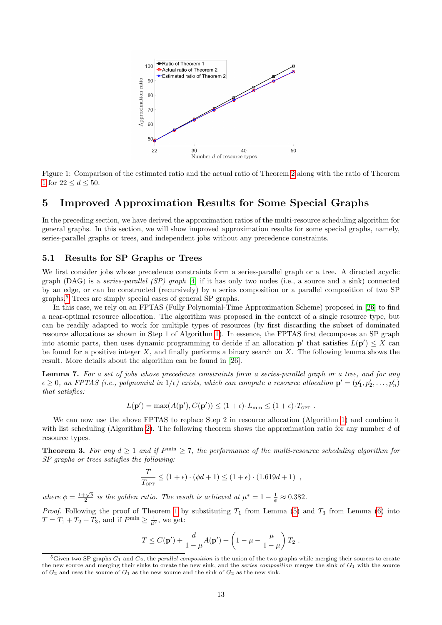

<span id="page-12-1"></span>Figure 1: Comparison of the estimated ratio and the actual ratio of Theorem [2](#page-10-0) along with the ratio of Theorem [1](#page-9-3) for  $22 \le d \le 50$ .

# <span id="page-12-0"></span>5 Improved Approximation Results for Some Special Graphs

In the preceding section, we have derived the approximation ratios of the multi-resource scheduling algorithm for general graphs. In this section, we will show improved approximation results for some special graphs, namely, series-parallel graphs or trees, and independent jobs without any precedence constraints.

# 5.1 Results for SP Graphs or Trees

We first consider jobs whose precedence constraints form a series-parallel graph or a tree. A directed acyclic graph (DAG) is a *series-parallel (SP)* graph [\[4\]](#page-16-16) if it has only two nodes (i.e., a source and a sink) connected by an edge, or can be constructed (recursively) by a series composition or a parallel composition of two SP graphs.[5](#page-12-2) Trees are simply special cases of general SP graphs.

In this case, we rely on an FPTAS (Fully Polynomial-Time Approximation Scheme) proposed in [\[26\]](#page-17-9) to find a near-optimal resource allocation. The algorithm was proposed in the context of a single resource type, but can be readily adapted to work for multiple types of resources (by first discarding the subset of dominated resource allocations as shown in Step 1 of Algorithm [1\)](#page-7-1). In essence, the FPTAS first decomposes an SP graph into atomic parts, then uses dynamic programming to decide if an allocation  $p'$  that satisfies  $L(p') \leq X$  can be found for a positive integer  $X$ , and finally performs a binary search on  $X$ . The following lemma shows the result. More details about the algorithm can be found in [\[26\]](#page-17-9).

<span id="page-12-3"></span>Lemma 7. For a set of jobs whose precedence constraints form a series-parallel graph or a tree, and for any  $\epsilon \geq 0$ , an FPTAS (i.e., polynomial in  $1/\epsilon$ ) exists, which can compute a resource allocation  $\mathbf{p}' = (p'_1, p'_2, \ldots, p'_n)$ that satisfies:

$$
L(\mathbf{p}') = \max(A(\mathbf{p}'), C(\mathbf{p}')) \le (1+\epsilon) \cdot L_{\min} \le (1+\epsilon) \cdot T_{\text{OPT}}.
$$

We can now use the above FPTAS to replace Step 2 in resource allocation (Algorithm [1\)](#page-7-1) and combine it with list scheduling (Algorithm [2\)](#page-8-0). The following theorem shows the approximation ratio for any number  $d$  of resource types.

<span id="page-12-4"></span>**Theorem 3.** For any  $d \geq 1$  and if  $P^{\min} \geq 7$ , the performance of the multi-resource scheduling algorithm for SP graphs or trees satisfies the following:

$$
\frac{T}{T_{\text{OPT}}} \le (1 + \epsilon) \cdot (\phi d + 1) \le (1 + \epsilon) \cdot (1.619d + 1) ,
$$

where  $\phi = \frac{1+\sqrt{5}}{2}$  is the golden ratio. The result is achieved at  $\mu^* = 1 - \frac{1}{\phi} \approx 0.382$ .

*Proof.* Following the proof of Theorem [1](#page-9-3) by substituting  $T_1$  from Lemma [\(5\)](#page-8-1) and  $T_3$  from Lemma [\(6\)](#page-9-2) into  $T = T_1 + T_2 + T_3$ , and if  $P^{\min} \ge \frac{1}{\mu^2}$ , we get:

$$
T \leq C(\mathbf{p}') + \frac{d}{1-\mu}A(\mathbf{p}') + \left(1 - \mu - \frac{\mu}{1-\mu}\right)T_2.
$$

<span id="page-12-2"></span><sup>&</sup>lt;sup>5</sup>Given two SP graphs  $G_1$  and  $G_2$ , the *parallel composition* is the union of the two graphs while merging their sources to create the new source and merging their sinks to create the new sink, and the *series composition* merges the sink of  $G_1$  with the source of  $G_2$  and uses the source of  $G_1$  as the new source and the sink of  $G_2$  as the new sink.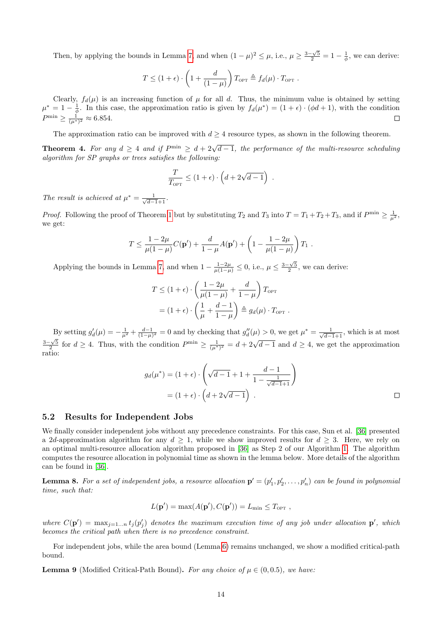Then, by applying the bounds in Lemma [7,](#page-12-3) and when  $(1 - \mu)^2 \leq \mu$ , i.e.,  $\mu \geq \frac{3 - \sqrt{5}}{2} = 1 - \frac{1}{\phi}$ , we can derive:

$$
T \le (1 + \epsilon) \cdot \left(1 + \frac{d}{(1 - \mu)}\right) T_{\text{OPT}} \triangleq f_d(\mu) \cdot T_{\text{OPT}}.
$$

Clearly,  $f_d(\mu)$  is an increasing function of  $\mu$  for all d. Thus, the minimum value is obtained by setting  $\mu^* = 1 - \frac{1}{\phi}$ . In this case, the approximation ratio is given by  $f_d(\mu^*) = (1 + \epsilon) \cdot (\phi d + 1)$ , with the condition  $P^{\min} \ge \frac{1}{(\mu^*)^2} \approx 6.854.$ 

The approximation ratio can be improved with  $d \geq 4$  resource types, as shown in the following theorem.

<span id="page-13-2"></span>**Theorem 4.** For any  $d \geq 4$  and if  $P^{\min} \geq d + 2\sqrt{d-1}$ , the performance of the multi-resource scheduling algorithm for SP graphs or trees satisfies the following:

$$
\frac{T}{T_{\text{OPT}}} \le (1 + \epsilon) \cdot \left( d + 2\sqrt{d-1} \right) .
$$

The result is achieved at  $\mu^* = \frac{1}{\sqrt{d-1}+1}$ .

*Proof.* Following the proof of Theorem [1](#page-9-3) but by substituting  $T_2$  and  $T_3$  into  $T = T_1 + T_2 + T_3$ , and if  $P^{\min} \ge \frac{1}{\mu^2}$ , we get:

$$
T \leq \frac{1 - 2\mu}{\mu(1 - \mu)} C(\mathbf{p}') + \frac{d}{1 - \mu} A(\mathbf{p}') + \left(1 - \frac{1 - 2\mu}{\mu(1 - \mu)}\right) T_1.
$$

Applying the bounds in Lemma [7,](#page-12-3) and when  $1 - \frac{1-2\mu}{\mu(1-\mu)} \le 0$ , i.e.,  $\mu \le \frac{3-\sqrt{5}}{2}$ , we can derive:

$$
T \le (1 + \epsilon) \cdot \left(\frac{1 - 2\mu}{\mu(1 - \mu)} + \frac{d}{1 - \mu}\right) T_{\text{OPT}}
$$
  
=  $(1 + \epsilon) \cdot \left(\frac{1}{\mu} + \frac{d - 1}{1 - \mu}\right) \triangleq g_d(\mu) \cdot T_{\text{OPT}}$ .

By setting  $g'_d(\mu) = -\frac{1}{\mu^2} + \frac{d-1}{(1-\mu)^2} = 0$  and by checking that  $g''_d(\mu) > 0$ , we get  $\mu^* = \frac{1}{\sqrt{d-1}+1}$ , which is at most  $\frac{3-\sqrt{5}}{2}$  for  $d \ge 4$ . Thus, with the condition  $P^{\min} \ge \frac{1}{(\mu^*)^2} = d + 2\sqrt{d-1}$  and  $d \ge 4$ , we get the approximation ratio:

$$
g_d(\mu^*) = (1+\epsilon) \cdot \left(\sqrt{d-1} + 1 + \frac{d-1}{1 - \frac{1}{\sqrt{d-1}+1}}\right)
$$

$$
= (1+\epsilon) \cdot \left(d + 2\sqrt{d-1}\right) .
$$

## 5.2 Results for Independent Jobs

We finally consider independent jobs without any precedence constraints. For this case, Sun et al. [\[36\]](#page-17-4) presented a 2d-approximation algorithm for any  $d \geq 1$ , while we show improved results for  $d \geq 3$ . Here, we rely on an optimal multi-resource allocation algorithm proposed in [\[36\]](#page-17-4) as Step 2 of our Algorithm [1.](#page-7-1) The algorithm computes the resource allocation in polynomial time as shown in the lemma below. More details of the algorithm can be found in [\[36\]](#page-17-4).

<span id="page-13-1"></span>**Lemma 8.** For a set of independent jobs, a resource allocation  $\mathbf{p}' = (p'_1, p'_2, \ldots, p'_n)$  can be found in polynomial time, such that:

$$
L(\mathbf{p}') = \max(A(\mathbf{p}'), C(\mathbf{p}')) = L_{\min} \leq T_{\text{OPT}} ,
$$

where  $C(\mathbf{p}') = \max_{j=1...n} t_j(p'_j)$  denotes the maximum execution time of any job under allocation  $\mathbf{p}'$ , which becomes the critical path when there is no precedence constraint.

For independent jobs, while the area bound (Lemma [6\)](#page-9-2) remains unchanged, we show a modified critical-path bound.

<span id="page-13-0"></span>**Lemma 9** (Modified Critical-Path Bound). For any choice of  $\mu \in (0, 0.5)$ , we have: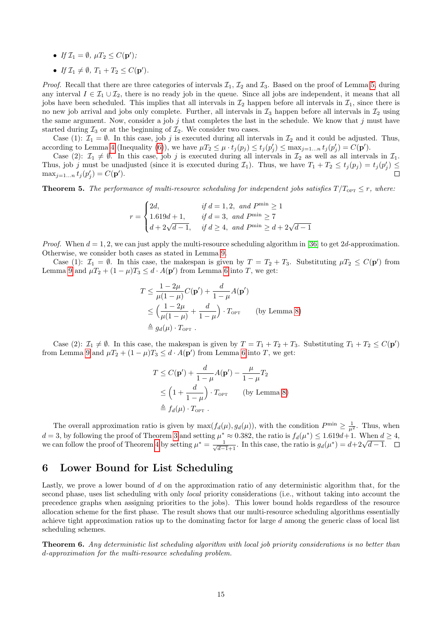- If  $\mathcal{I}_1 = \emptyset$ ,  $\mu T_2 \le C(\mathbf{p}')$ ;
- If  $\mathcal{I}_1 \neq \emptyset$ ,  $T_1 + T_2 \leq C(\mathbf{p}')$ .

*Proof.* Recall that there are three categories of intervals  $\mathcal{I}_1$ ,  $\mathcal{I}_2$  and  $\mathcal{I}_3$ . Based on the proof of Lemma [5,](#page-8-1) during any interval  $I \in \mathcal{I}_1 \cup \mathcal{I}_2$ , there is no ready job in the queue. Since all jobs are independent, it means that all jobs have been scheduled. This implies that all intervals in  $\mathcal{I}_2$  happen before all intervals in  $\mathcal{I}_1$ , since there is no new job arrival and jobs only complete. Further, all intervals in  $\mathcal{I}_3$  happen before all intervals in  $\mathcal{I}_2$  using the same argument. Now, consider a job j that completes the last in the schedule. We know that j must have started during  $\mathcal{I}_3$  or at the beginning of  $\mathcal{I}_2$ . We consider two cases.

Case (1):  $\mathcal{I}_1 = \emptyset$ . In this case, job j is executed during all intervals in  $\mathcal{I}_2$  and it could be adjusted. Thus, according to Lemma [4](#page-6-5) (Inequality [\(6\)](#page-6-3)), we have  $\mu T_2 \leq \mu \cdot t_j(p_j) \leq t_j(p'_j) \leq \max_{j=1...n} t_j(p'_j) = C(\mathbf{p}')$ .

Case (2):  $\mathcal{I}_1 \neq \emptyset$ . In this case, job j is executed during all intervals in  $\mathcal{I}_2$  as well as all intervals in  $\mathcal{I}_1$ . Thus, job j must be unadjusted (since it is executed during  $\mathcal{I}_1$ ). Thus, we have  $T_1 + T_2 \le t_j(p_j) = t_j(p'_j) \le$  $\max_{j=1...n} t_j(p'_j) = C(\mathbf{p}')$ .

**Theorem 5.** The performance of multi-resource scheduling for independent jobs satisfies  $T/T_{\text{OPT}} \leq r$ , where:

$$
r = \begin{cases} 2d, & if \ d = 1, 2, \ and \ P^{\min} \ge 1 \\ 1.619d + 1, & if \ d = 3, \ and \ P^{\min} \ge 7 \\ d + 2\sqrt{d - 1}, & if \ d \ge 4, \ and \ P^{\min} \ge d + 2\sqrt{d - 1} \end{cases}
$$

*Proof.* When  $d = 1, 2$ , we can just apply the multi-resource scheduling algorithm in [\[36\]](#page-17-4) to get 2d-approximation. Otherwise, we consider both cases as stated in Lemma [9.](#page-13-0)

Case (1):  $\mathcal{I}_1 = \emptyset$ . In this case, the makespan is given by  $T = T_2 + T_3$ . Substituting  $\mu T_2 \leq C(\mathbf{p}')$  from Lemma [9](#page-13-0) and  $\mu T_2 + (1 - \mu)T_3 \le d \cdot A(\mathbf{p}')$  from Lemma [6](#page-9-2) into T, we get:

$$
T \le \frac{1 - 2\mu}{\mu(1 - \mu)} C(\mathbf{p}') + \frac{d}{1 - \mu} A(\mathbf{p}')
$$
  
\n
$$
\le \left(\frac{1 - 2\mu}{\mu(1 - \mu)} + \frac{d}{1 - \mu}\right) \cdot T_{\text{OPT}} \qquad \text{(by Lemma 8)}
$$
  
\n
$$
\triangleq g_d(\mu) \cdot T_{\text{OPT}}.
$$

Case (2):  $\mathcal{I}_1 \neq \emptyset$ . In this case, the makespan is given by  $T = T_1 + T_2 + T_3$ . Substituting  $T_1 + T_2 \leq C(\mathbf{p}')$ from Lemma [9](#page-13-0) and  $\mu T_2 + (1 - \mu)T_3 \leq d \cdot A(\mathbf{p}')$  from Lemma [6](#page-9-2) into T, we get:

$$
T \leq C(\mathbf{p}') + \frac{d}{1-\mu}A(\mathbf{p}') - \frac{\mu}{1-\mu}T_2
$$
  
\n
$$
\leq \left(1 + \frac{d}{1-\mu}\right) \cdot T_{\text{OPT}} \qquad \text{(by Lemma 8)}
$$
  
\n
$$
\triangleq f_d(\mu) \cdot T_{\text{OPT}}.
$$

The overall approximation ratio is given by  $\max(f_d(\mu), g_d(\mu))$ , with the condition  $P^{\min} \geq \frac{1}{\mu^2}$ . Thus, when  $d = 3$  $d = 3$ , by following the proof of Theorem 3 and setting  $\mu^* \approx 0.382$ , the ratio is  $f_d(\mu^*) \leq 1.619d + 1$ . When  $d \geq 4$ ,  $a = 3$ , by following the proof of Theorem 3 and setting  $\mu^* \approx 0.382$ , the ratio is  $J_d(\mu^*) \le 1.619a + 1$ . When a we can follow the proof of Theorem [4](#page-13-2) by setting  $\mu^* = \frac{1}{\sqrt{d-1}+1}$ . In this case, the ratio is  $g_d(\mu^*) =$ 

# <span id="page-14-0"></span>6 Lower Bound for List Scheduling

Lastly, we prove a lower bound of d on the approximation ratio of any deterministic algorithm that, for the second phase, uses list scheduling with only *local* priority considerations (i.e., without taking into account the precedence graphs when assigning priorities to the jobs). This lower bound holds regardless of the resource allocation scheme for the first phase. The result shows that our multi-resource scheduling algorithms essentially achieve tight approximation ratios up to the dominating factor for large  $d$  among the generic class of local list scheduling schemes.

<span id="page-14-1"></span>Theorem 6. Any deterministic list scheduling algorithm with local job priority considerations is no better than d-approximation for the multi-resource scheduling problem.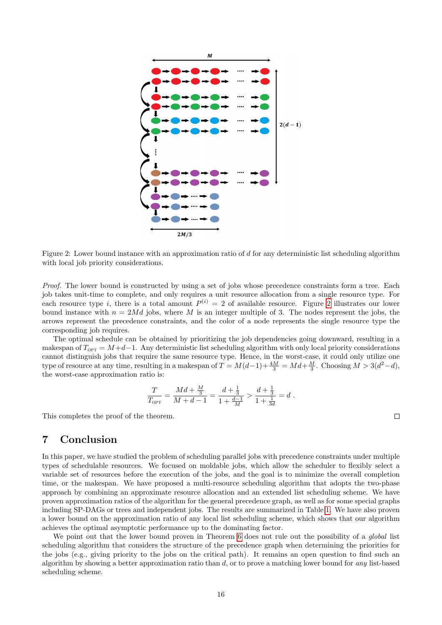

<span id="page-15-1"></span>Figure 2: Lower bound instance with an approximation ratio of d for any deterministic list scheduling algorithm with local job priority considerations.

Proof. The lower bound is constructed by using a set of jobs whose precedence constraints form a tree. Each job takes unit-time to complete, and only requires a unit resource allocation from a single resource type. For each resource type i, there is a total amount  $P^{(i)} = 2$  $P^{(i)} = 2$  of available resource. Figure 2 illustrates our lower bound instance with  $n = 2Md$  jobs, where M is an integer multiple of 3. The nodes represent the jobs, the arrows represent the precedence constraints, and the color of a node represents the single resource type the corresponding job requires.

The optimal schedule can be obtained by prioritizing the job dependencies going downward, resulting in a makespan of  $T_{\text{OPT}} = M+d-1$ . Any deterministic list scheduling algorithm with only local priority considerations cannot distinguish jobs that require the same resource type. Hence, in the worst-case, it could only utilize one type of resource at any time, resulting in a makespan of  $T = M(d-1) + \frac{4M}{3} = Md + \frac{M}{3}$ . Choosing  $M > 3(d^2 - d)$ , the worst-case approximation ratio is:

$$
\frac{T}{T_{\text{OPT}}} = \frac{Md + \frac{M}{3}}{M + d - 1} = \frac{d + \frac{1}{3}}{1 + \frac{d - 1}{M}} > \frac{d + \frac{1}{3}}{1 + \frac{1}{3d}} = d.
$$

This completes the proof of the theorem.

# <span id="page-15-0"></span>7 Conclusion

In this paper, we have studied the problem of scheduling parallel jobs with precedence constraints under multiple types of schedulable resources. We focused on moldable jobs, which allow the scheduler to flexibly select a variable set of resources before the execution of the jobs, and the goal is to minimize the overall completion time, or the makespan. We have proposed a multi-resource scheduling algorithm that adopts the two-phase approach by combining an approximate resource allocation and an extended list scheduling scheme. We have proven approximation ratios of the algorithm for the general precedence graph, as well as for some special graphs including SP-DAGs or trees and independent jobs. The results are summarized in Table [1.](#page-16-17) We have also proven a lower bound on the approximation ratio of any local list scheduling scheme, which shows that our algorithm achieves the optimal asymptotic performance up to the dominating factor.

We point out that the lower bound proven in Theorem [6](#page-14-1) does not rule out the possibility of a *global* list scheduling algorithm that considers the structure of the precedence graph when determining the priorities for the jobs (e.g., giving priority to the jobs on the critical path). It remains an open question to find such an algorithm by showing a better approximation ratio than  $d$ , or to prove a matching lower bound for any list-based scheduling scheme.

 $\Box$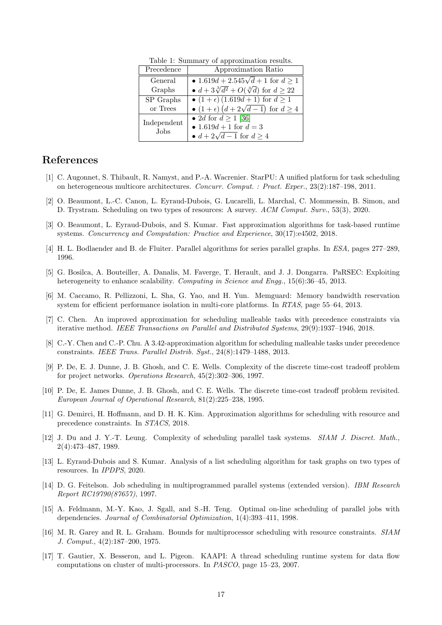| Precedence                 | Approximation Ratio                                    |
|----------------------------|--------------------------------------------------------|
| General                    | • 1.619d + 2.545 $\sqrt{d}$ + 1 for $d \ge 1$          |
| Graphs                     | • $d + 3\sqrt[3]{d^2} + O(\sqrt[3]{d})$ for $d \ge 22$ |
| SP Graphs                  | • $(1+\epsilon)(1.619d+1)$ for $d \ge 1$               |
| or Trees                   | • $(1+\epsilon)$ $(d+2\sqrt{d-1})$ for $d \geq 4$      |
| Independent<br><b>Jobs</b> | • 2 <i>d</i> for $d \ge 1$ [36]                        |
|                            | • 1.619 $d+1$ for $d=3$                                |
|                            | • $d+2\sqrt{d-1}$ for $d\geq 4$                        |

<span id="page-16-17"></span>Table 1: Summary of approximation results.

# References

- <span id="page-16-1"></span>[1] C. Augonnet, S. Thibault, R. Namyst, and P.-A. Wacrenier. StarPU: A unified platform for task scheduling on heterogeneous multicore architectures. Concurr. Comput. : Pract. Exper., 23(2):187–198, 2011.
- <span id="page-16-13"></span>[2] O. Beaumont, L.-C. Canon, L. Eyraud-Dubois, G. Lucarelli, L. Marchal, C. Mommessin, B. Simon, and D. Trystram. Scheduling on two types of resources: A survey. ACM Comput. Surv., 53(3), 2020.
- <span id="page-16-11"></span>[3] O. Beaumont, L. Eyraud-Dubois, and S. Kumar. Fast approximation algorithms for task-based runtime systems. Concurrency and Computation: Practice and Experience, 30(17):e4502, 2018.
- <span id="page-16-16"></span>[4] H. L. Bodlaender and B. de Fluiter. Parallel algorithms for series parallel graphs. In ESA, pages 277–289, 1996.
- <span id="page-16-2"></span>[5] G. Bosilca, A. Bouteiller, A. Danalis, M. Faverge, T. Herault, and J. J. Dongarra. PaRSEC: Exploiting heterogeneity to enhance scalability. Computing in Science and Engg., 15(6):36–45, 2013.
- <span id="page-16-3"></span>[6] M. Caccamo, R. Pellizzoni, L. Sha, G. Yao, and H. Yun. Memguard: Memory bandwidth reservation system for efficient performance isolation in multi-core platforms. In RTAS, page 55–64, 2013.
- <span id="page-16-7"></span>[7] C. Chen. An improved approximation for scheduling malleable tasks with precedence constraints via iterative method. IEEE Transactions on Parallel and Distributed Systems, 29(9):1937–1946, 2018.
- <span id="page-16-8"></span>[8] C.-Y. Chen and C.-P. Chu. A 3.42-approximation algorithm for scheduling malleable tasks under precedence constraints. IEEE Trans. Parallel Distrib. Syst., 24(8):1479–1488, 2013.
- <span id="page-16-15"></span>[9] P. De, E. J. Dunne, J. B. Ghosh, and C. E. Wells. Complexity of the discrete time-cost tradeoff problem for project networks. Operations Research, 45(2):302–306, 1997.
- <span id="page-16-14"></span>[10] P. De, E. James Dunne, J. B. Ghosh, and C. E. Wells. The discrete time-cost tradeoff problem revisited. European Journal of Operational Research, 81(2):225–238, 1995.
- <span id="page-16-10"></span>[11] G. Demirci, H. Hoffmann, and D. H. K. Kim. Approximation algorithms for scheduling with resource and precedence constraints. In STACS, 2018.
- <span id="page-16-5"></span>[12] J. Du and J. Y.-T. Leung. Complexity of scheduling parallel task systems. SIAM J. Discret. Math., 2(4):473–487, 1989.
- <span id="page-16-12"></span>[13] L. Eyraud-Dubois and S. Kumar. Analysis of a list scheduling algorithm for task graphs on two types of resources. In IPDPS, 2020.
- <span id="page-16-4"></span>[14] D. G. Feitelson. Job scheduling in multiprogrammed parallel systems (extended version). IBM Research Report RC19790(87657), 1997.
- <span id="page-16-9"></span>[15] A. Feldmann, M.-Y. Kao, J. Sgall, and S.-H. Teng. Optimal on-line scheduling of parallel jobs with dependencies. Journal of Combinatorial Optimization, 1(4):393–411, 1998.
- <span id="page-16-6"></span>[16] M. R. Garey and R. L. Graham. Bounds for multiprocessor scheduling with resource constraints. SIAM J. Comput., 4(2):187–200, 1975.
- <span id="page-16-0"></span>[17] T. Gautier, X. Besseron, and L. Pigeon. KAAPI: A thread scheduling runtime system for data flow computations on cluster of multi-processors. In PASCO, page 15–23, 2007.